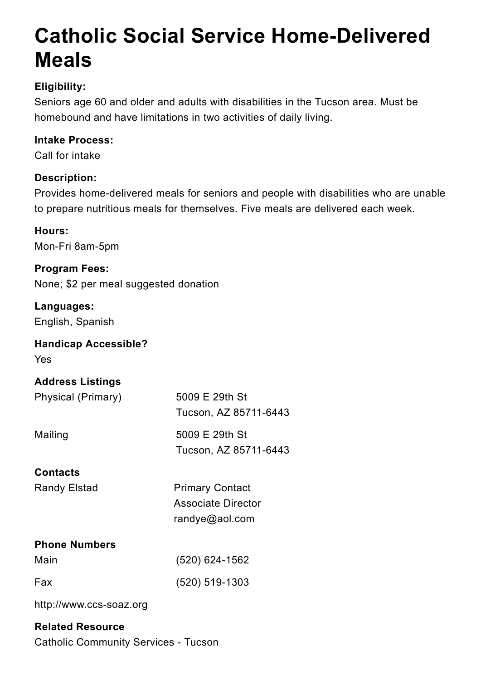# **Catholic Social Service Home-Delivered Meals**

# **Eligibility:**

Seniors age 60 and older and adults with disabilities in the Tucson area. Must be homebound and have limitations in two activities of daily living.

# **Intake Process:**

Call for intake

# **Description:**

Provides home-delivered meals for seniors and people with disabilities who are unable to prepare nutritious meals for themselves. Five meals are delivered each week.

Randy Elstad **Primary Contact** Associate Director

# **Hours:**

Mon-Fri 8am-5pm

# **Program Fees:** None; \$2 per meal suggested donation

# **Languages:**

English, Spanish

# **Handicap Accessible?**

Yes

# **Address Listings**

#### **Phone Numbers**

#### http://www.ccs-soaz.org

#### **Related Resource**

Catholic Community Services - Tucson

**Contacts** Physical (Primary) 5009 E 29th St Tucson, AZ 85711-6443 Mailing 5009 E 29th St Tucson, AZ 85711-6443

#### randye@aol.com

Main (520) 624-1562

Fax (520) 519-1303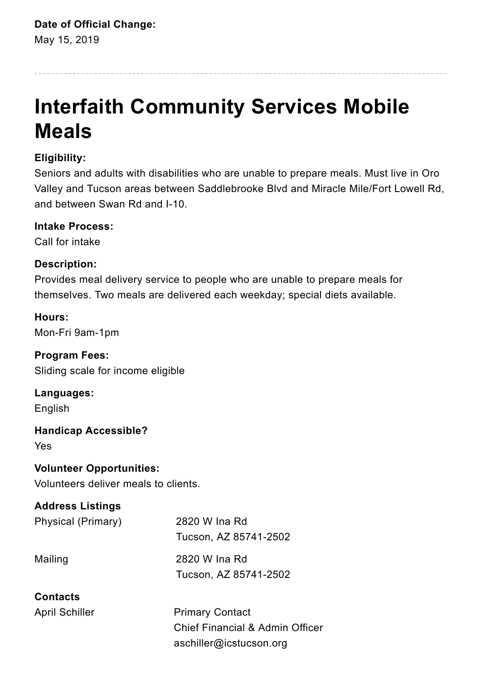# **Date of Official Change:**

May 15, 2019

# **Interfaith Community Services Mobile Meals**

# **Eligibility:**

Seniors and adults with disabilities who are unable to prepare meals. Must live in Oro Valley and Tucson areas between Saddlebrooke Blvd and Miracle Mile/Fort Lowell Rd, and between Swan Rd and I-10.

# **Intake Process:**

Call for intake

# **Description:**

Provides meal delivery service to people who are unable to prepare meals for themselves. Two meals are delivered each weekday; special diets available.

April Schiller **Primary Contact** Chief Financial & Admin Officer aschiller@icstucson.org

## **Hours:** Mon-Fri 9am-1pm

**Program Fees:** Sliding scale for income eligible

**Languages:** English

**Handicap Accessible?** Yes

**Volunteer Opportunities:** Volunteers deliver meals to clients.

# **Address Listings**

#### **Contacts**

Physical (Primary) 2820 W Ina Rd

Tucson, AZ 85741-2502

Mailing 2820 W Ina Rd Tucson, AZ 85741-2502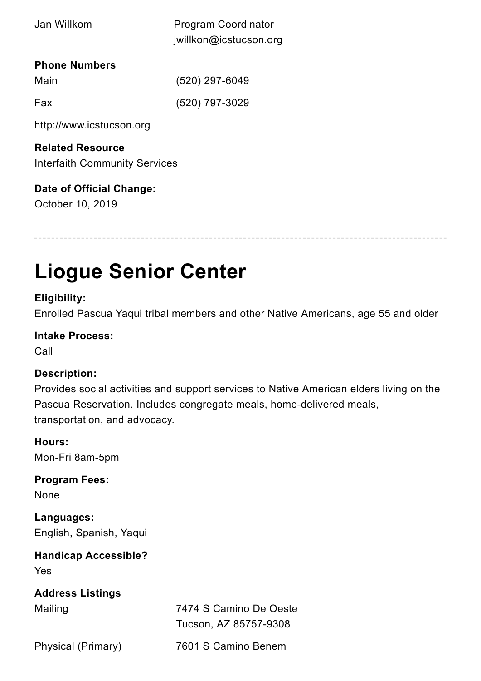#### **Phone Numbers**

http://www.icstucson.org

# **Related Resource**

Interfaith Community Services

# **Date of Official Change:**

October 10, 2019

# **Liogue Senior Center**

## **Eligibility:**

Enrolled Pascua Yaqui tribal members and other Native Americans, age 55 and older

## **Intake Process:**

Call

# **Description:**

Provides social activities and support services to Native American elders living on the Pascua Reservation. Includes congregate meals, home-delivered meals, transportation, and advocacy.

# **Hours:**

Mon-Fri 8am-5pm

# **Program Fees:**

None

#### **Languages:**

English, Spanish, Yaqui

#### **Handicap Accessible?**

Yes

# **Address Listings**

| Jan Willkom          | <b>Program Coordinator</b> |
|----------------------|----------------------------|
|                      | jwillkon@icstucson.org     |
| <b>Phone Numbers</b> |                            |

| Main | $(520)$ 297-6049 |
|------|------------------|
| Fax  | $(520)$ 797-3029 |

Mailing 7474 S Camino De Oeste Tucson, AZ 85757-9308

Physical (Primary) 7601 S Camino Benem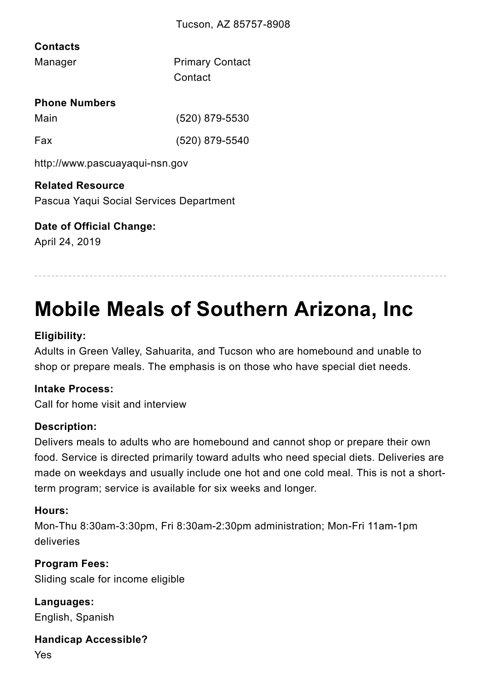# **Contacts**

#### **Phone Numbers**

http://www.pascuayaqui-nsn.gov

#### **Related Resource**

Pascua Yaqui Social Services Department

## **Date of Official Change:**

April 24, 2019

# **Mobile Meals of Southern Arizona, Inc**

# **Eligibility:**

Adults in Green Valley, Sahuarita, and Tucson who are homebound and unable to shop or prepare meals. The emphasis is on those who have special diet needs.

## **Intake Process:**

Call for home visit and interview

## **Description:**

Delivers meals to adults who are homebound and cannot shop or prepare their own food. Service is directed primarily toward adults who need special diets. Deliveries are made on weekdays and usually include one hot and one cold meal. This is not a shortterm program; service is available for six weeks and longer.

#### **Hours:**

# Mon-Thu 8:30am-3:30pm, Fri 8:30am-2:30pm administration; Mon-Fri 11am-1pm deliveries

#### **Program Fees:**

Sliding scale for income eligible

#### **Languages:**

English, Spanish

#### **Handicap Accessible?**

Yes

| Manager | <b>Primary Contact</b> |
|---------|------------------------|
|         | Contact                |

| Main | $(520)$ 879-5530 |
|------|------------------|
| Fax  | $(520)$ 879-5540 |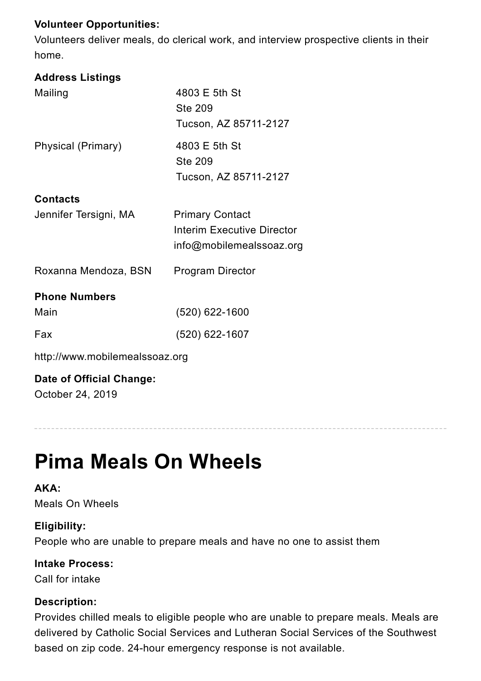# **Volunteer Opportunities:**

Volunteers deliver meals, do clerical work, and interview prospective clients in their home.

## **Address Listings**

http://www.mobilemealssoaz.org

# **Date of Official Change:** October 24, 2019

# **Pima Meals On Wheels**

**AKA:** Meals On Wheels

#### **Eligibility:**

People who are unable to prepare meals and have no one to assist them

**Intake Process:**

Call for intake

#### **Description:**

Provides chilled meals to eligible people who are unable to prepare meals. Meals are delivered by Catholic Social Services and Lutheran Social Services of the Southwest based on zip code. 24-hour emergency response is not available.

| Mailing               | 4803 E 5th St<br><b>Ste 209</b><br>Tucson, AZ 85711-2127 |
|-----------------------|----------------------------------------------------------|
| Physical (Primary)    | 4803 E 5th St<br><b>Ste 209</b><br>Tucson, AZ 85711-2127 |
| <b>Contacts</b>       |                                                          |
| Jennifer Tersigni, MA | <b>Primary Contact</b>                                   |
|                       | Interim Executive Director                               |
|                       | info@mobilemealssoaz.org                                 |
| Roxanna Mendoza, BSN  | <b>Program Director</b>                                  |
| <b>Phone Numbers</b>  |                                                          |
| Main                  | (520) 622-1600                                           |
| Fax                   | (520) 622-1607                                           |
|                       |                                                          |